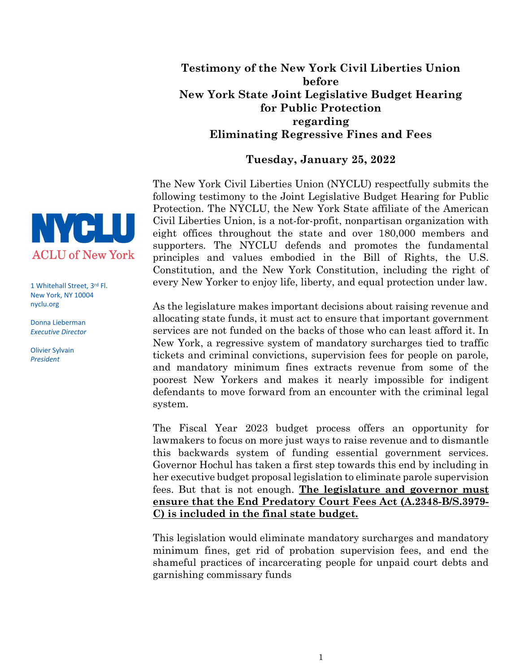## Testimony of the New York Civil Liberties Union before New York State Joint Legislative Budget Hearing for Public Protection regarding Eliminating Regressive Fines and Fees

## Tuesday, January 25, 2022

The New York Civil Liberties Union (NYCLU) respectfully submits the following testimony to the Joint Legislative Budget Hearing for Public Protection. The NYCLU, the New York State affiliate of the American Civil Liberties Union, is a not-for-profit, nonpartisan organization with eight offices throughout the state and over 180,000 members and supporters. The NYCLU defends and promotes the fundamental principles and values embodied in the Bill of Rights, the U.S. Constitution, and the New York Constitution, including the right of every New Yorker to enjoy life, liberty, and equal protection under law.

As the legislature makes important decisions about raising revenue and allocating state funds, it must act to ensure that important government services are not funded on the backs of those who can least afford it. In New York, a regressive system of mandatory surcharges tied to traffic tickets and criminal convictions, supervision fees for people on parole, and mandatory minimum fines extracts revenue from some of the poorest New Yorkers and makes it nearly impossible for indigent defendants to move forward from an encounter with the criminal legal system.

The Fiscal Year 2023 budget process offers an opportunity for lawmakers to focus on more just ways to raise revenue and to dismantle this backwards system of funding essential government services. Governor Hochul has taken a first step towards this end by including in her executive budget proposal legislation to eliminate parole supervision fees. But that is not enough. The legislature and governor must ensure that the End Predatory Court Fees Act (A.2348-B/S.3979- C) is included in the final state budget.

This legislation would eliminate mandatory surcharges and mandatory minimum fines, get rid of probation supervision fees, and end the shameful practices of incarcerating people for unpaid court debts and garnishing commissary funds



1 Whitehall Street, 3rd Fl. New York, NY 10004 nyclu.org

Donna Lieberman Executive Director

Olivier Sylvain President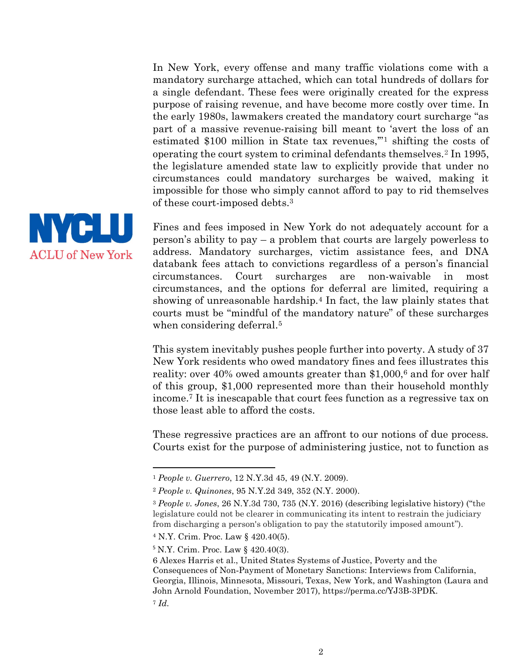In New York, every offense and many traffic violations come with a mandatory surcharge attached, which can total hundreds of dollars for a single defendant. These fees were originally created for the express purpose of raising revenue, and have become more costly over time. In the early 1980s, lawmakers created the mandatory court surcharge "as part of a massive revenue-raising bill meant to 'avert the loss of an estimated \$100 million in State tax revenues,'"1 shifting the costs of operating the court system to criminal defendants themselves.2 In 1995, the legislature amended state law to explicitly provide that under no circumstances could mandatory surcharges be waived, making it impossible for those who simply cannot afford to pay to rid themselves of these court-imposed debts.<sup>3</sup>



Fines and fees imposed in New York do not adequately account for a person's ability to pay – a problem that courts are largely powerless to address. Mandatory surcharges, victim assistance fees, and DNA databank fees attach to convictions regardless of a person's financial circumstances. Court surcharges are non-waivable in most circumstances, and the options for deferral are limited, requiring a showing of unreasonable hardship.4 In fact, the law plainly states that courts must be "mindful of the mandatory nature" of these surcharges when considering deferral.<sup>5</sup>

This system inevitably pushes people further into poverty. A study of 37 New York residents who owed mandatory fines and fees illustrates this reality: over 40% owed amounts greater than  $$1,000$ ,<sup>6</sup> and for over half of this group, \$1,000 represented more than their household monthly income.7 It is inescapable that court fees function as a regressive tax on those least able to afford the costs.

These regressive practices are an affront to our notions of due process. Courts exist for the purpose of administering justice, not to function as

<sup>4</sup> N.Y. Crim. Proc. Law § 420.40(5).

l

<sup>1</sup> People v. Guerrero, 12 N.Y.3d 45, 49 (N.Y. 2009).

<sup>2</sup> People v. Quinones, 95 N.Y.2d 349, 352 (N.Y. 2000).

<sup>3</sup> People v. Jones, 26 N.Y.3d 730, 735 (N.Y. 2016) (describing legislative history) ("the legislature could not be clearer in communicating its intent to restrain the judiciary from discharging a person's obligation to pay the statutorily imposed amount").

<sup>5</sup> N.Y. Crim. Proc. Law § 420.40(3).

<sup>6</sup> Alexes Harris et al., United States Systems of Justice, Poverty and the Consequences of Non‐Payment of Monetary Sanctions: Interviews from California, Georgia, Illinois, Minnesota, Missouri, Texas, New York, and Washington (Laura and John Arnold Foundation, November 2017), https://perma.cc/YJ3B-3PDK.